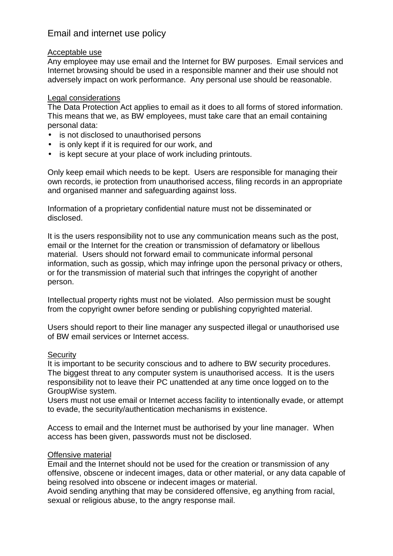# Email and internet use policy

## Acceptable use

Any employee may use email and the Internet for BW purposes. Email services and Internet browsing should be used in a responsible manner and their use should not adversely impact on work performance. Any personal use should be reasonable.

## Legal considerations

The Data Protection Act applies to email as it does to all forms of stored information. This means that we, as BW employees, must take care that an email containing personal data:

- is not disclosed to unauthorised persons
- is only kept if it is required for our work, and
- is kept secure at your place of work including printouts.

Only keep email which needs to be kept. Users are responsible for managing their own records, ie protection from unauthorised access, filing records in an appropriate and organised manner and safeguarding against loss.

Information of a proprietary confidential nature must not be disseminated or disclosed.

It is the users responsibility not to use any communication means such as the post, email or the Internet for the creation or transmission of defamatory or libellous material. Users should not forward email to communicate informal personal information, such as gossip, which may infringe upon the personal privacy or others, or for the transmission of material such that infringes the copyright of another person.

Intellectual property rights must not be violated. Also permission must be sought from the copyright owner before sending or publishing copyrighted material.

Users should report to their line manager any suspected illegal or unauthorised use of BW email services or Internet access.

## **Security**

It is important to be security conscious and to adhere to BW security procedures. The biggest threat to any computer system is unauthorised access. It is the users responsibility not to leave their PC unattended at any time once logged on to the GroupWise system.

Users must not use email or Internet access facility to intentionally evade, or attempt to evade, the security/authentication mechanisms in existence.

Access to email and the Internet must be authorised by your line manager. When access has been given, passwords must not be disclosed.

## Offensive material

Email and the Internet should not be used for the creation or transmission of any offensive, obscene or indecent images, data or other material, or any data capable of being resolved into obscene or indecent images or material.

Avoid sending anything that may be considered offensive, eg anything from racial, sexual or religious abuse, to the angry response mail.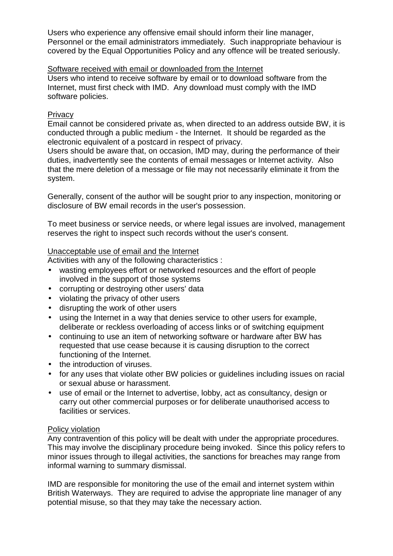Users who experience any offensive email should inform their line manager, Personnel or the email administrators immediately. Such inappropriate behaviour is covered by the Equal Opportunities Policy and any offence will be treated seriously.

Software received with email or downloaded from the Internet Users who intend to receive software by email or to download software from the Internet, must first check with IMD. Any download must comply with the IMD software policies.

## **Privacy**

Email cannot be considered private as, when directed to an address outside BW, it is conducted through a public medium - the Internet. It should be regarded as the electronic equivalent of a postcard in respect of privacy.

Users should be aware that, on occasion, IMD may, during the performance of their duties, inadvertently see the contents of email messages or Internet activity. Also that the mere deletion of a message or file may not necessarily eliminate it from the system.

Generally, consent of the author will be sought prior to any inspection, monitoring or disclosure of BW email records in the user's possession.

To meet business or service needs, or where legal issues are involved, management reserves the right to inspect such records without the user's consent.

## Unacceptable use of email and the Internet

Activities with any of the following characteristics :

- wasting employees effort or networked resources and the effort of people involved in the support of those systems
- corrupting or destroying other users' data
- violating the privacy of other users
- disrupting the work of other users
- using the Internet in a way that denies service to other users for example, deliberate or reckless overloading of access links or of switching equipment
- continuing to use an item of networking software or hardware after BW has requested that use cease because it is causing disruption to the correct functioning of the Internet.
- the introduction of viruses.
- for any uses that violate other BW policies or guidelines including issues on racial or sexual abuse or harassment.
- use of email or the Internet to advertise, lobby, act as consultancy, design or carry out other commercial purposes or for deliberate unauthorised access to facilities or services.

## Policy violation

Any contravention of this policy will be dealt with under the appropriate procedures. This may involve the disciplinary procedure being invoked. Since this policy refers to minor issues through to illegal activities, the sanctions for breaches may range from informal warning to summary dismissal.

IMD are responsible for monitoring the use of the email and internet system within British Waterways. They are required to advise the appropriate line manager of any potential misuse, so that they may take the necessary action.